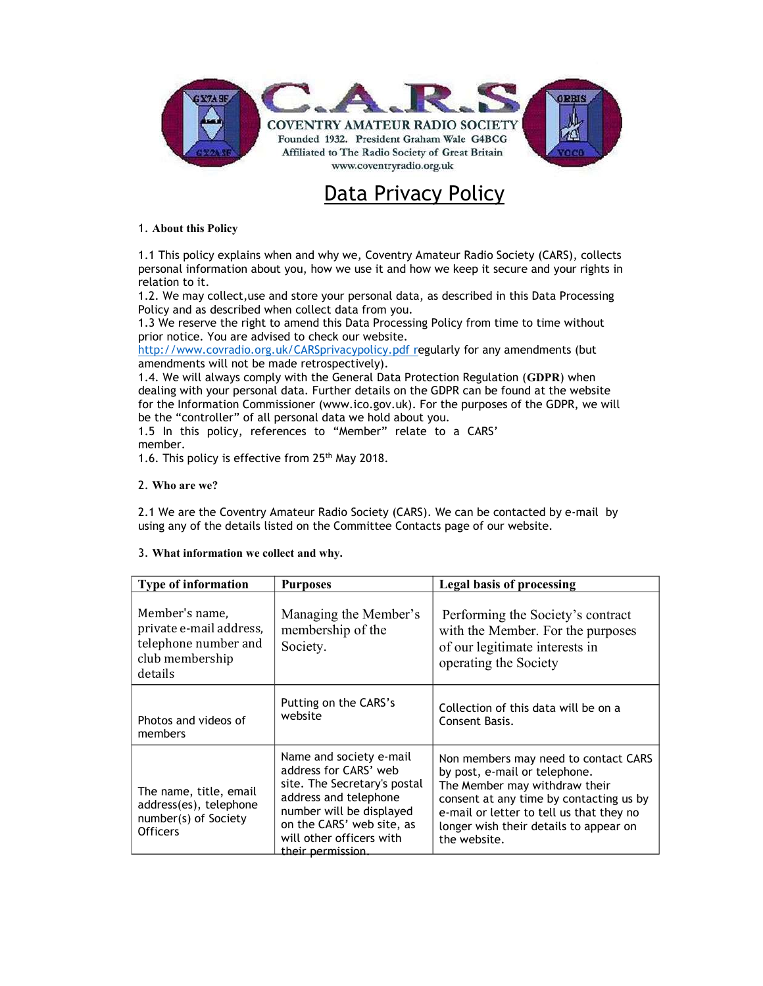

## Data Privacy Policy

## 1. About this Policy

1.1 This policy explains when and why we, Coventry Amateur Radio Society (CARS), collects personal information about you, how we use it and how we keep it secure and your rights in relation to it.

1.2. We may collect,use and store your personal data, as described in this Data Processing Policy and as described when collect data from you.

1.3 We reserve the right to amend this Data Processing Policy from time to time without prior notice. You are advised to check our website.

http://www.covradio.org.uk/CARSprivacypolicy.pdf regularly for any amendments (but amendments will not be made retrospectively).

1.4. We will always comply with the General Data Protection Regulation (GDPR) when dealing with your personal data. Further details on the GDPR can be found at the website for the Information Commissioner (www.ico.gov.uk). For the purposes of the GDPR, we will be the "controller" of all personal data we hold about you.

1.5 In this policy, references to "Member" relate to a CARS' member.

1.6. This policy is effective from 25<sup>th</sup> May 2018.

## 2. Who are we?

2.1 We are the Coventry Amateur Radio Society (CARS). We can be contacted by e-mail by using any of the details listed on the Committee Contacts page of our website.

| 3. What information we collect and why. |  |
|-----------------------------------------|--|
|                                         |  |

| Type of information                                                                             | <b>Purposes</b>                                                                                                                                                                                                     | <b>Legal basis of processing</b>                                                                                                                                                                                                                        |
|-------------------------------------------------------------------------------------------------|---------------------------------------------------------------------------------------------------------------------------------------------------------------------------------------------------------------------|---------------------------------------------------------------------------------------------------------------------------------------------------------------------------------------------------------------------------------------------------------|
| Member's name,<br>private e-mail address,<br>telephone number and<br>club membership<br>details | Managing the Member's<br>membership of the<br>Society.                                                                                                                                                              | Performing the Society's contract<br>with the Member. For the purposes<br>of our legitimate interests in<br>operating the Society                                                                                                                       |
| Photos and videos of<br>members                                                                 | Putting on the CARS's<br>website                                                                                                                                                                                    | Collection of this data will be on a<br>Consent Basis.                                                                                                                                                                                                  |
| The name, title, email<br>address(es), telephone<br>number(s) of Society<br><b>Officers</b>     | Name and society e-mail<br>address for CARS' web<br>site. The Secretary's postal<br>address and telephone<br>number will be displayed<br>on the CARS' web site, as<br>will other officers with<br>their permission. | Non members may need to contact CARS<br>by post, e-mail or telephone.<br>The Member may withdraw their<br>consent at any time by contacting us by<br>e-mail or letter to tell us that they no<br>longer wish their details to appear on<br>the website. |